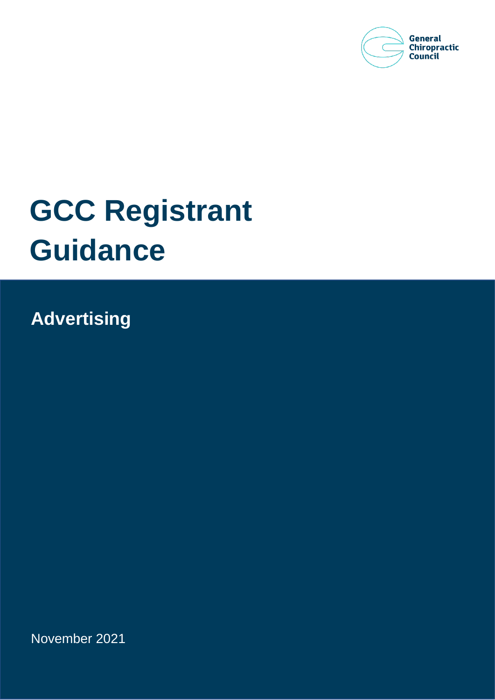

# **GCC Registrant Guidance**

**Advertising**

November 2021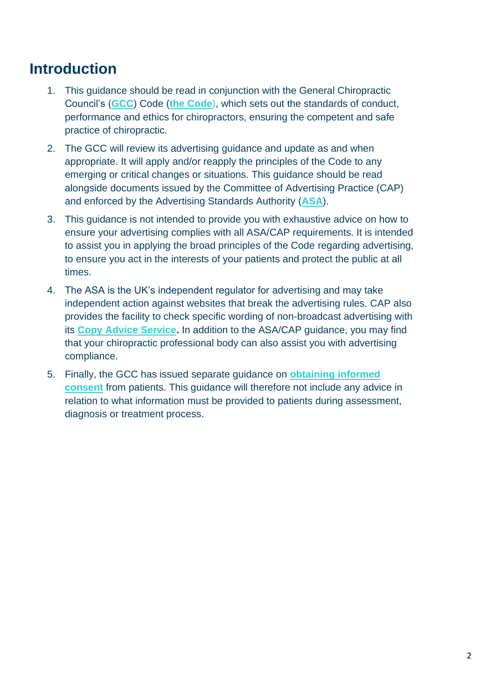### **Introduction**

- 1. This guidance should be read in conjunction with the General Chiropractic Council's (**[GCC](http://www.gcc-uk.org/)**) Code (**[the Code](http://www.gcc-uk.org/the-code)**), which sets out the standards of conduct, performance and ethics for chiropractors, ensuring the competent and safe practice of chiropractic.
- 2. The GCC will review its advertising guidance and update as and when appropriate. It will apply and/or reapply the principles of the Code to any emerging or critical changes or situations. This guidance should be read alongside documents issued by the Committee of Advertising Practice (CAP) and enforced by the Advertising Standards Authority (**[ASA](https://www.asa.org.uk/)**).
- 3. This guidance is not intended to provide you with exhaustive advice on how to ensure your advertising complies with all ASA/CAP requirements. It is intended to assist you in applying the broad principles of the Code regarding advertising, to ensure you act in the interests of your patients and protect the public at all times.
- 4. The ASA is the UK's independent regulator for advertising and may take independent action against websites that break the advertising rules. CAP also provides the facility to check specific wording of non-broadcast advertising with its **[Copy Advice Service.](https://www.asa.org.uk/advice-and-resources/bespoke-copy-advice.html)** In addition to the ASA/CAP guidance, you may find that your chiropractic professional body can also assist you with advertising compliance.
- 5. Finally, the GCC has issued separate guidance on **[obtaining informed](https://www.gcc-uk.org/assets/publications/Consent_Guidance_2016.pdf)  [consent](https://www.gcc-uk.org/assets/publications/Consent_Guidance_2016.pdf)** from patients. This guidance will therefore not include any advice in relation to what information must be provided to patients during assessment, diagnosis or treatment process.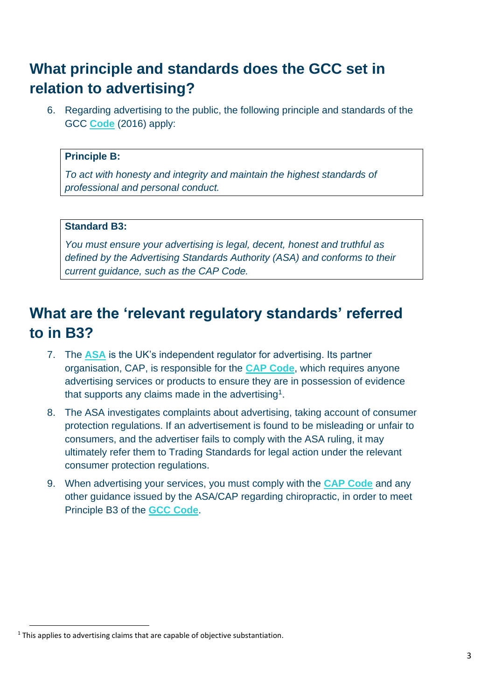# **What principle and standards does the GCC set in relation to advertising?**

6. Regarding advertising to the public, the following principle and standards of the GCC **[Code](http://www.gcc-uk.org/the-code)** (2016) apply:

#### **Principle B:**

*To act with honesty and integrity and maintain the highest standards of professional and personal conduct.*

#### **Standard B3:**

*You must ensure your advertising is legal, decent, honest and truthful as defined by the Advertising Standards Authority (ASA) and conforms to their current guidance, such as the CAP Code.*

# **What are the 'relevant regulatory standards' referred to in B3?**

- 7. The **[ASA](http://www.asa.org.uk/)** is the UK's independent regulator for advertising. Its partner organisation, CAP, is responsible for the **[CAP Code](https://www.asa.org.uk/codes-and-rulings/advertising-codes/non-broadcast-code.html)**, which requires anyone advertising services or products to ensure they are in possession of evidence that supports any claims made in the advertising<sup>1</sup>.
- 8. The ASA investigates complaints about advertising, taking account of consumer protection regulations. If an advertisement is found to be misleading or unfair to consumers, and the advertiser fails to comply with the ASA ruling, it may ultimately refer them to Trading Standards for legal action under the relevant consumer protection regulations.
- 9. When advertising your services, you must comply with the **[CAP Code](https://www.asa.org.uk/codes-and-rulings/advertising-codes/non-broadcast-code.html)** and any other guidance issued by the ASA/CAP regarding chiropractic, in order to meet Principle B3 of the **[GCC Code](http://www.gcc-uk.org/the-code)**.

<sup>&</sup>lt;sup>1</sup> This applies to advertising claims that are capable of objective substantiation.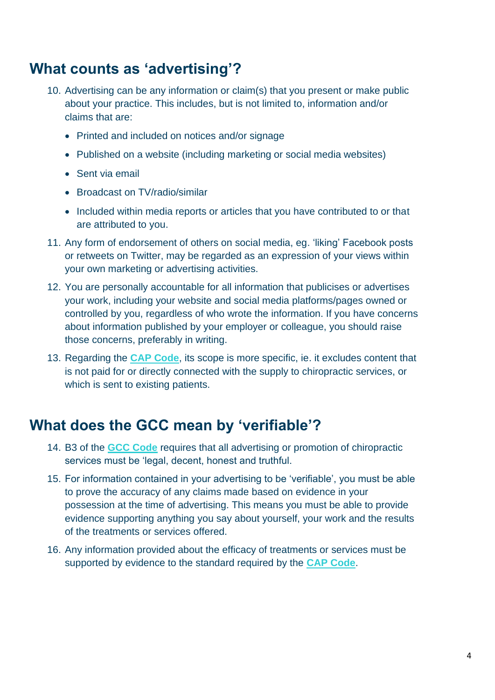#### **What counts as 'advertising'?**

- 10. Advertising can be any information or claim(s) that you present or make public about your practice. This includes, but is not limited to, information and/or claims that are:
	- Printed and included on notices and/or signage
	- Published on a website (including marketing or social media websites)
	- Sent via email
	- Broadcast on TV/radio/similar
	- Included within media reports or articles that you have contributed to or that are attributed to you.
- 11. Any form of endorsement of others on social media, eg. 'liking' Facebook posts or retweets on Twitter, may be regarded as an expression of your views within your own marketing or advertising activities.
- 12. You are personally accountable for all information that publicises or advertises your work, including your website and social media platforms/pages owned or controlled by you, regardless of who wrote the information. If you have concerns about information published by your employer or colleague, you should raise those concerns, preferably in writing.
- 13. Regarding the **[CAP Code](http://www.asa.org.uk/codes-and-rulings/advertising-codes/non-broadcast-code.html)**, its scope is more specific, ie. it excludes content that is not paid for or directly connected with the supply to chiropractic services, or which is sent to existing patients.

### **What does the GCC mean by 'verifiable'?**

- 14. B3 of the **[GCC Code](http://www.gcc-uk.org/the-code)** requires that all advertising or promotion of chiropractic services must be 'legal, decent, honest and truthful.
- 15. For information contained in your advertising to be 'verifiable', you must be able to prove the accuracy of any claims made based on evidence in your possession at the time of advertising. This means you must be able to provide evidence supporting anything you say about yourself, your work and the results of the treatments or services offered.
- 16. Any information provided about the efficacy of treatments or services must be supported by evidence to the standard required by the **[CAP Code](http://www.asa.org.uk/codes-and-rulings/advertising-codes/non-broadcast-code.html)**.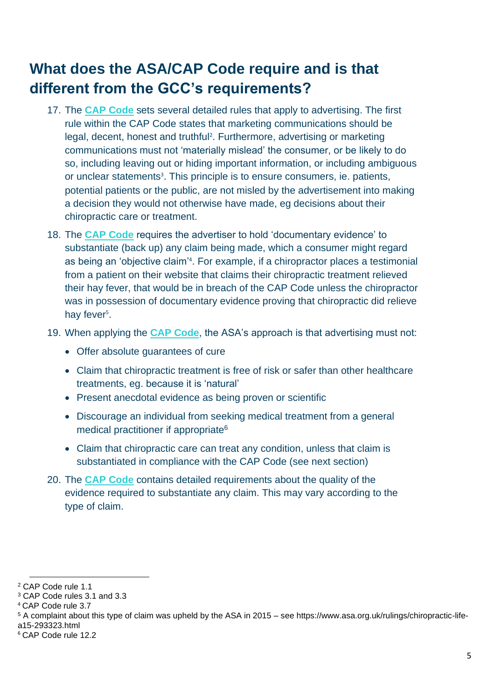# **What does the ASA/CAP Code require and is that different from the GCC's requirements?**

- 17. The **[CAP Code](http://www.asa.org.uk/codes-and-rulings/advertising-codes/non-broadcast-code.html)** sets several detailed rules that apply to advertising. The first rule within the CAP Code states that marketing communications should be legal, decent, honest and truthful<sup>2</sup>. Furthermore, advertising or marketing communications must not 'materially mislead' the consumer, or be likely to do so, including leaving out or hiding important information, or including ambiguous or unclear statements<sup>3</sup>. This principle is to ensure consumers, ie. patients, potential patients or the public, are not misled by the advertisement into making a decision they would not otherwise have made, eg decisions about their chiropractic care or treatment.
- 18. The **[CAP Code](http://www.asa.org.uk/codes-and-rulings/advertising-codes/non-broadcast-code.html)** requires the advertiser to hold 'documentary evidence' to substantiate (back up) any claim being made, which a consumer might regard as being an 'objective claim'<sup>4</sup> . For example, if a chiropractor places a testimonial from a patient on their website that claims their chiropractic treatment relieved their hay fever, that would be in breach of the CAP Code unless the chiropractor was in possession of documentary evidence proving that chiropractic did relieve hay fever<sup>5</sup>.
- 19. When applying the **[CAP Code](http://www.asa.org.uk/codes-and-rulings/advertising-codes/non-broadcast-code.html)**, the ASA's approach is that advertising must not:
	- Offer absolute guarantees of cure
	- Claim that chiropractic treatment is free of risk or safer than other healthcare treatments, eg. because it is 'natural'
	- Present anecdotal evidence as being proven or scientific
	- Discourage an individual from seeking medical treatment from a general medical practitioner if appropriate<sup>6</sup>
	- Claim that chiropractic care can treat any condition, unless that claim is substantiated in compliance with the CAP Code (see next section)
- 20. The **[CAP Code](http://www.asa.org.uk/codes-and-rulings/advertising-codes/non-broadcast-code.html)** contains detailed requirements about the quality of the evidence required to substantiate any claim. This may vary according to the type of claim.

<sup>2</sup> CAP Code rule 1.1

<sup>3</sup> CAP Code rules 3.1 and 3.3

<sup>4</sup> CAP Code rule 3.7

<sup>5</sup> A complaint about this type of claim was upheld by the ASA in 2015 – see https://www.asa.org.uk/rulings/chiropractic-lifea15-293323.html

<sup>6</sup> CAP Code rule 12.2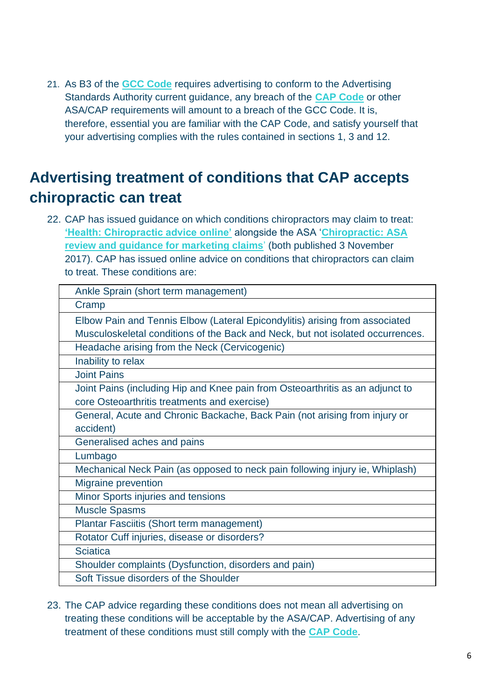21. As B3 of the **[GCC Code](http://www.gcc-uk.org/the-code)** requires advertising to conform to the Advertising Standards Authority current guidance, any breach of the **[CAP Code](http://www.asa.org.uk/codes-and-rulings/advertising-codes/non-broadcast-code.html)** or other ASA/CAP requirements will amount to a breach of the GCC Code. It is, therefore, essential you are familiar with the CAP Code, and satisfy yourself that your advertising complies with the rules contained in sections 1, 3 and 12.

# **Advertising treatment of conditions that CAP accepts chiropractic can treat**

22. CAP has issued guidance on which conditions chiropractors may claim to treat: **['Health: Chiropractic advice online'](https://www.asa.org.uk/advice-online/health-chiropractic.html)** alongside the ASA '**[Chiropractic: ASA](https://www.asa.org.uk/uploads/assets/uploaded/330d2d20-28e3-4cf2-b4772c19555c2afa.pdf)  [review and guidance for marketing claims](https://www.asa.org.uk/uploads/assets/uploaded/330d2d20-28e3-4cf2-b4772c19555c2afa.pdf)**' (both published 3 November 2017). CAP has issued online advice on conditions that chiropractors can claim to treat. These conditions are:

| Cramp<br>Elbow Pain and Tennis Elbow (Lateral Epicondylitis) arising from associated<br>Musculoskeletal conditions of the Back and Neck, but not isolated occurrences.<br>Headache arising from the Neck (Cervicogenic)<br>Inability to relax<br><b>Joint Pains</b><br>Joint Pains (including Hip and Knee pain from Osteoarthritis as an adjunct to<br>core Osteoarthritis treatments and exercise)<br>General, Acute and Chronic Backache, Back Pain (not arising from injury or<br>accident)<br>Generalised aches and pains |  |
|--------------------------------------------------------------------------------------------------------------------------------------------------------------------------------------------------------------------------------------------------------------------------------------------------------------------------------------------------------------------------------------------------------------------------------------------------------------------------------------------------------------------------------|--|
|                                                                                                                                                                                                                                                                                                                                                                                                                                                                                                                                |  |
|                                                                                                                                                                                                                                                                                                                                                                                                                                                                                                                                |  |
|                                                                                                                                                                                                                                                                                                                                                                                                                                                                                                                                |  |
|                                                                                                                                                                                                                                                                                                                                                                                                                                                                                                                                |  |
|                                                                                                                                                                                                                                                                                                                                                                                                                                                                                                                                |  |
|                                                                                                                                                                                                                                                                                                                                                                                                                                                                                                                                |  |
|                                                                                                                                                                                                                                                                                                                                                                                                                                                                                                                                |  |
|                                                                                                                                                                                                                                                                                                                                                                                                                                                                                                                                |  |
|                                                                                                                                                                                                                                                                                                                                                                                                                                                                                                                                |  |
|                                                                                                                                                                                                                                                                                                                                                                                                                                                                                                                                |  |
|                                                                                                                                                                                                                                                                                                                                                                                                                                                                                                                                |  |
| Lumbago                                                                                                                                                                                                                                                                                                                                                                                                                                                                                                                        |  |
| Mechanical Neck Pain (as opposed to neck pain following injury ie, Whiplash)                                                                                                                                                                                                                                                                                                                                                                                                                                                   |  |
| Migraine prevention                                                                                                                                                                                                                                                                                                                                                                                                                                                                                                            |  |
| Minor Sports injuries and tensions                                                                                                                                                                                                                                                                                                                                                                                                                                                                                             |  |
| <b>Muscle Spasms</b>                                                                                                                                                                                                                                                                                                                                                                                                                                                                                                           |  |
| Plantar Fasciitis (Short term management)                                                                                                                                                                                                                                                                                                                                                                                                                                                                                      |  |
| Rotator Cuff injuries, disease or disorders?                                                                                                                                                                                                                                                                                                                                                                                                                                                                                   |  |
| <b>Sciatica</b>                                                                                                                                                                                                                                                                                                                                                                                                                                                                                                                |  |
| Shoulder complaints (Dysfunction, disorders and pain)                                                                                                                                                                                                                                                                                                                                                                                                                                                                          |  |
| Soft Tissue disorders of the Shoulder                                                                                                                                                                                                                                                                                                                                                                                                                                                                                          |  |

23. The CAP advice regarding these conditions does not mean all advertising on treating these conditions will be acceptable by the ASA/CAP. Advertising of any treatment of these conditions must still comply with the **[CAP Code](http://www.asa.org.uk/codes-and-rulings/advertising-codes/non-broadcast-code.html)**.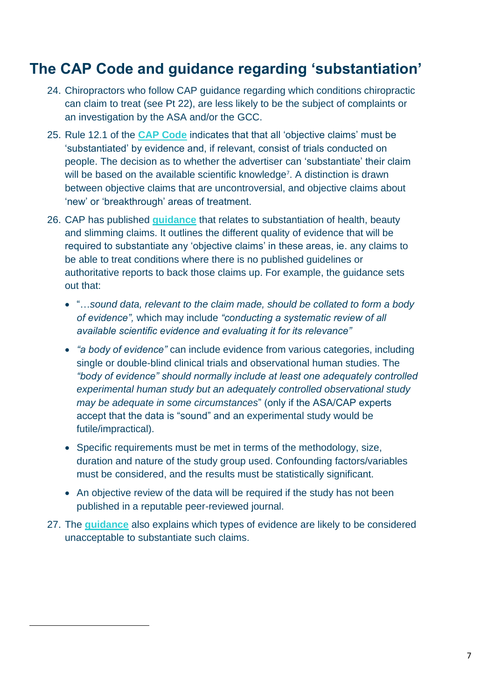## **The CAP Code and guidance regarding 'substantiation'**

- 24. Chiropractors who follow CAP guidance regarding which conditions chiropractic can claim to treat (see Pt 22), are less likely to be the subject of complaints or an investigation by the ASA and/or the GCC.
- 25. Rule 12.1 of the **[CAP Code](http://www.asa.org.uk/codes-and-rulings/advertising-codes/non-broadcast-code.html)** indicates that that all 'objective claims' must be 'substantiated' by evidence and, if relevant, consist of trials conducted on people. The decision as to whether the advertiser can 'substantiate' their claim will be based on the available scientific knowledge<sup>7</sup>. A distinction is drawn between objective claims that are uncontroversial, and objective claims about 'new' or 'breakthrough' areas of treatment.
- 26. CAP has published **[guidance](https://www.asa.org.uk/asset/FF6B1462-8621-487A-B2770AB606ABA5CB/)** that relates to substantiation of health, beauty and slimming claims. It outlines the different quality of evidence that will be required to substantiate any 'objective claims' in these areas, ie. any claims to be able to treat conditions where there is no published guidelines or authoritative reports to back those claims up. For example, the guidance sets out that:
	- "…*sound data, relevant to the claim made, should be collated to form a body of evidence",* which may include *"conducting a systematic review of all available scientific evidence and evaluating it for its relevance"*
	- *"a body of evidence"* can include evidence from various categories, including single or double-blind clinical trials and observational human studies. The *"body of evidence" should normally include at least one adequately controlled experimental human study but an adequately controlled observational study may be adequate in some circumstances*" (only if the ASA/CAP experts accept that the data is "sound" and an experimental study would be futile/impractical).
	- Specific requirements must be met in terms of the methodology, size, duration and nature of the study group used. Confounding factors/variables must be considered, and the results must be statistically significant.
	- An objective review of the data will be required if the study has not been published in a reputable peer-reviewed journal.
- 27. The **[guidance](https://www.asa.org.uk/asset/FF6B1462-8621-487A-B2770AB606ABA5CB/)** also explains which types of evidence are likely to be considered unacceptable to substantiate such claims.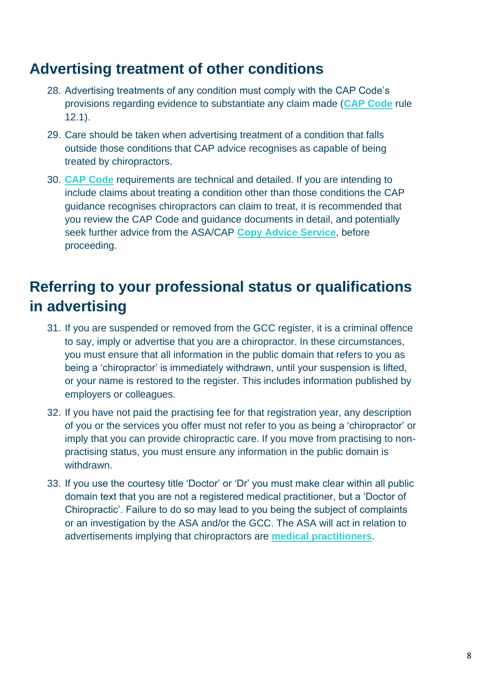#### **Advertising treatment of other conditions**

- 28. Advertising treatments of any condition must comply with the CAP Code's provisions regarding evidence to substantiate any claim made (**[CAP Code](http://www.asa.org.uk/codes-and-rulings/advertising-codes/non-broadcast-code.html)** rule 12.1).
- 29. Care should be taken when advertising treatment of a condition that falls outside those conditions that CAP advice recognises as capable of being treated by chiropractors.
- 30. **[CAP Code](http://www.asa.org.uk/codes-and-rulings/advertising-codes/non-broadcast-code.html)** requirements are technical and detailed. If you are intending to include claims about treating a condition other than those conditions the CAP guidance recognises chiropractors can claim to treat, it is recommended that you review the CAP Code and guidance documents in detail, and potentially seek further advice from the ASA/CAP **[Copy Advice Service](http://www.asa.org.uk/advice-and-resources/bespoke-copy-advice.html)**, before proceeding.

# **Referring to your professional status or qualifications in advertising**

- 31. If you are suspended or removed from the GCC register, it is a criminal offence to say, imply or advertise that you are a chiropractor. In these circumstances, you must ensure that all information in the public domain that refers to you as being a 'chiropractor' is immediately withdrawn, until your suspension is lifted, or your name is restored to the register. This includes information published by employers or colleagues.
- 32. If you have not paid the practising fee for that registration year, any description of you or the services you offer must not refer to you as being a 'chiropractor' or imply that you can provide chiropractic care. If you move from practising to nonpractising status, you must ensure any information in the public domain is withdrawn.
- 33. If you use the courtesy title 'Doctor' or 'Dr' you must make clear within all public domain text that you are not a registered medical practitioner, but a 'Doctor of Chiropractic'. Failure to do so may lead to you being the subject of complaints or an investigation by the ASA and/or the GCC. The ASA will act in relation to advertisements implying that chiropractors are **[medical practitioners](http://www.asa.org.uk/advice-online/use-of-the-term-dr-chiropractors.html)**.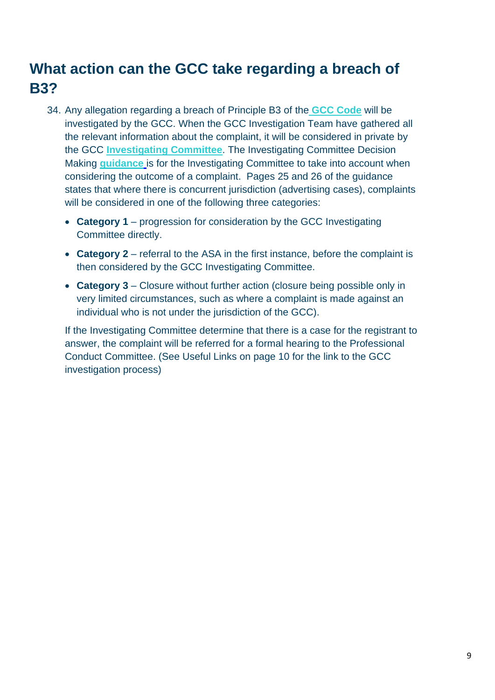# **What action can the GCC take regarding a breach of B3?**

- 34. Any allegation regarding a breach of Principle B3 of the **GCC [Code](http://www.gcc-uk.org/the-code)** will be investigated by the GCC. When the GCC Investigation Team have gathered all the relevant information about the complaint, it will be considered in private by the GCC **[Investigating Committee](https://www.gcc-uk.org/about-us/how-we-work/committees)**. The Investigating Committee Decision Making **[guidance](http://www.gcc-uk.org/guidance-ic-dm)** is for the Investigating Committee to take into account when considering the outcome of a complaint. Pages 25 and 26 of the guidance states that where there is concurrent jurisdiction (advertising cases), complaints will be considered in one of the following three categories:
	- **Category 1** progression for consideration by the GCC Investigating Committee directly.
	- **Category 2** referral to the ASA in the first instance, before the complaint is then considered by the GCC Investigating Committee.
	- **Category 3** Closure without further action (closure being possible only in very limited circumstances, such as where a complaint is made against an individual who is not under the jurisdiction of the GCC).

If the Investigating Committee determine that there is a case for the registrant to answer, the complaint will be referred for a formal hearing to the Professional Conduct Committee. (See Useful Links on page 10 for the link to the GCC investigation process)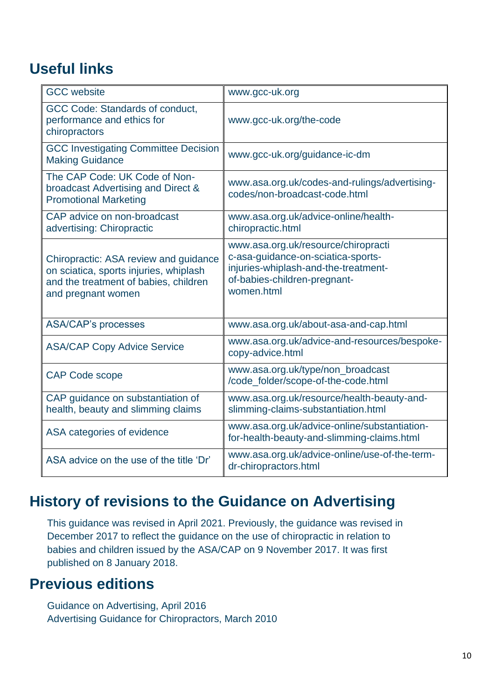# **Useful links**

| <b>GCC</b> website                                                                                                                             | www.gcc-uk.org                                                                                                                                                  |
|------------------------------------------------------------------------------------------------------------------------------------------------|-----------------------------------------------------------------------------------------------------------------------------------------------------------------|
| GCC Code: Standards of conduct,<br>performance and ethics for<br>chiropractors                                                                 | www.gcc-uk.org/the-code                                                                                                                                         |
| <b>GCC Investigating Committee Decision</b><br><b>Making Guidance</b>                                                                          | www.gcc-uk.org/guidance-ic-dm                                                                                                                                   |
| The CAP Code: UK Code of Non-<br>broadcast Advertising and Direct &<br><b>Promotional Marketing</b>                                            | www.asa.org.uk/codes-and-rulings/advertising-<br>codes/non-broadcast-code.html                                                                                  |
| CAP advice on non-broadcast<br>advertising: Chiropractic                                                                                       | www.asa.org.uk/advice-online/health-<br>chiropractic.html                                                                                                       |
| Chiropractic: ASA review and guidance<br>on sciatica, sports injuries, whiplash<br>and the treatment of babies, children<br>and pregnant women | www.asa.org.uk/resource/chiropracti<br>c-asa-guidance-on-sciatica-sports-<br>injuries-whiplash-and-the-treatment-<br>of-babies-children-pregnant-<br>women.html |
| <b>ASA/CAP's processes</b>                                                                                                                     | www.asa.org.uk/about-asa-and-cap.html                                                                                                                           |
| <b>ASA/CAP Copy Advice Service</b>                                                                                                             | www.asa.org.uk/advice-and-resources/bespoke-<br>copy-advice.html                                                                                                |
| <b>CAP Code scope</b>                                                                                                                          | www.asa.org.uk/type/non_broadcast<br>/code_folder/scope-of-the-code.html                                                                                        |
| CAP guidance on substantiation of<br>health, beauty and slimming claims                                                                        | www.asa.org.uk/resource/health-beauty-and-<br>slimming-claims-substantiation.html                                                                               |
| ASA categories of evidence                                                                                                                     | www.asa.org.uk/advice-online/substantiation-<br>for-health-beauty-and-slimming-claims.html                                                                      |
| ASA advice on the use of the title 'Dr'                                                                                                        | www.asa.org.uk/advice-online/use-of-the-term-<br>dr-chiropractors.html                                                                                          |

### **History of revisions to the Guidance on Advertising**

This guidance was revised in April 2021. Previously, the guidance was revised in December 2017 to reflect the guidance on the use of chiropractic in relation to babies and children issued by the ASA/CAP on 9 November 2017. It was first published on 8 January 2018.

### **Previous editions**

Guidance on Advertising, April 2016 Advertising Guidance for Chiropractors, March 2010